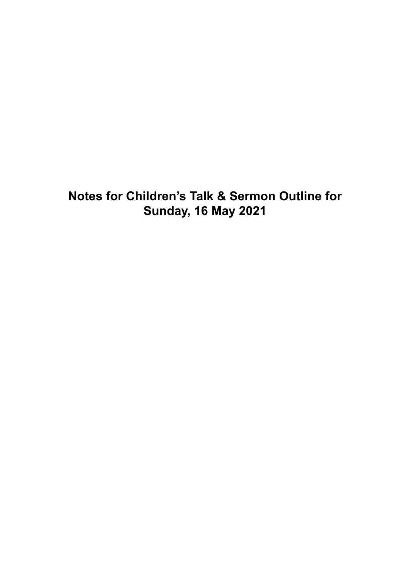**Notes for Children's Talk & Sermon Outline for Sunday, 16 May 2021**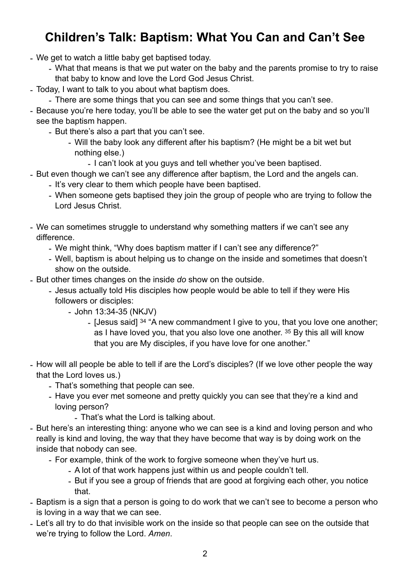# **Children's Talk: Baptism: What You Can and Can't See**

- We get to watch a little baby get baptised today.
	- What that means is that we put water on the baby and the parents promise to try to raise that baby to know and love the Lord God Jesus Christ.
- Today, I want to talk to you about what baptism does.
	- There are some things that you can see and some things that you can't see.
- Because you're here today, you'll be able to see the water get put on the baby and so you'll see the baptism happen.
	- But there's also a part that you can't see.
		- Will the baby look any different after his baptism? (He might be a bit wet but nothing else.)
			- I can't look at you guys and tell whether you've been baptised.
- But even though we can't see any difference after baptism, the Lord and the angels can.
	- It's very clear to them which people have been baptised.
	- When someone gets baptised they join the group of people who are trying to follow the Lord Jesus Christ.
- We can sometimes struggle to understand why something matters if we can't see any difference.
	- We might think, "Why does baptism matter if I can't see any difference?"
	- Well, baptism is about helping us to change on the inside and sometimes that doesn't show on the outside.
- But other times changes on the inside *do* show on the outside.
	- Jesus actually told His disciples how people would be able to tell if they were His followers or disciples:
		- John 13:34-35 (NKJV)
			- [Jesus said] 34 "A new commandment I give to you, that you love one another; as I have loved you, that you also love one another. 35 By this all will know that you are My disciples, if you have love for one another."
- How will all people be able to tell if are the Lord's disciples? (If we love other people the way that the Lord loves us.)
	- That's something that people can see.
	- Have you ever met someone and pretty quickly you can see that they're a kind and loving person?
		- That's what the Lord is talking about.
- But here's an interesting thing: anyone who we can see is a kind and loving person and who really is kind and loving, the way that they have become that way is by doing work on the inside that nobody can see.
	- For example, think of the work to forgive someone when they've hurt us.
		- A lot of that work happens just within us and people couldn't tell.
		- But if you see a group of friends that are good at forgiving each other, you notice that.
- Baptism is a sign that a person is going to do work that we can't see to become a person who is loving in a way that we can see.
- Let's all try to do that invisible work on the inside so that people can see on the outside that we're trying to follow the Lord. *Amen*.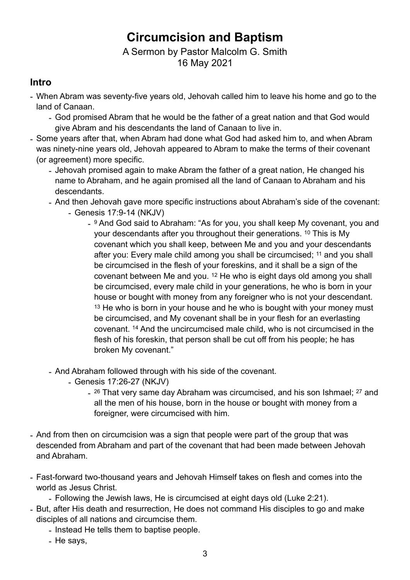# **Circumcision and Baptism**

#### A Sermon by Pastor Malcolm G. Smith 16 May 2021

#### **Intro**

- When Abram was seventy-five years old, Jehovah called him to leave his home and go to the land of Canaan.
	- God promised Abram that he would be the father of a great nation and that God would give Abram and his descendants the land of Canaan to live in.
- Some years after that, when Abram had done what God had asked him to, and when Abram was ninety-nine years old, Jehovah appeared to Abram to make the terms of their covenant (or agreement) more specific.
	- Jehovah promised again to make Abram the father of a great nation, He changed his name to Abraham, and he again promised all the land of Canaan to Abraham and his descendants.
	- And then Jehovah gave more specific instructions about Abraham's side of the covenant:
		- Genesis 17:9-14 (NKJV)
			- 9 And God said to Abraham: "As for you, you shall keep My covenant, you and your descendants after you throughout their generations. 10 This is My covenant which you shall keep, between Me and you and your descendants after you: Every male child among you shall be circumcised; 11 and you shall be circumcised in the flesh of your foreskins, and it shall be a sign of the covenant between Me and you. 12 He who is eight days old among you shall be circumcised, every male child in your generations, he who is born in your house or bought with money from any foreigner who is not your descendant. <sup>13</sup> He who is born in your house and he who is bought with your money must be circumcised, and My covenant shall be in your flesh for an everlasting covenant. 14 And the uncircumcised male child, who is not circumcised in the flesh of his foreskin, that person shall be cut off from his people; he has broken My covenant."
	- And Abraham followed through with his side of the covenant.
		- Genesis 17:26-27 (NKJV)
			- <sup>26</sup> That very same day Abraham was circumcised, and his son Ishmael; <sup>27</sup> and all the men of his house, born in the house or bought with money from a foreigner, were circumcised with him.
- And from then on circumcision was a sign that people were part of the group that was descended from Abraham and part of the covenant that had been made between Jehovah and Abraham.
- Fast-forward two-thousand years and Jehovah Himself takes on flesh and comes into the world as Jesus Christ.

- Following the Jewish laws, He is circumcised at eight days old (Luke 2:21).

- But, after His death and resurrection, He does not command His disciples to go and make disciples of all nations and circumcise them.
	- Instead He tells them to baptise people.
	- He says,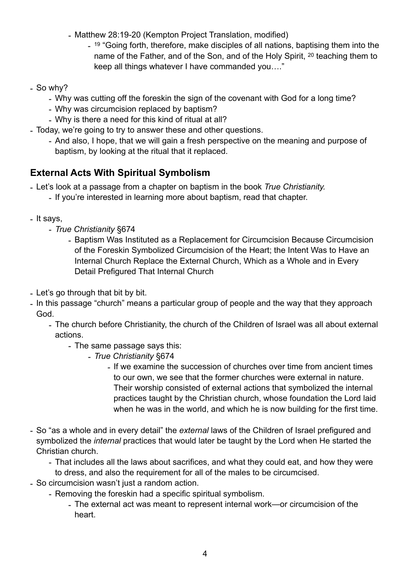- Matthew 28:19-20 (Kempton Project Translation, modified)
	- <sup>19</sup> "Going forth, therefore, make disciples of all nations, baptising them into the name of the Father, and of the Son, and of the Holy Spirit, 20 teaching them to keep all things whatever I have commanded you…."
- So why?
	- Why was cutting off the foreskin the sign of the covenant with God for a long time?
	- Why was circumcision replaced by baptism?
	- Why is there a need for this kind of ritual at all?
- Today, we're going to try to answer these and other questions.
	- And also, I hope, that we will gain a fresh perspective on the meaning and purpose of baptism, by looking at the ritual that it replaced.

### **External Acts With Spiritual Symbolism**

- Let's look at a passage from a chapter on baptism in the book *True Christianity.*

- If you're interested in learning more about baptism, read that chapter.
- It says,
	- *True Christianity* §674
		- Baptism Was Instituted as a Replacement for Circumcision Because Circumcision of the Foreskin Symbolized Circumcision of the Heart; the Intent Was to Have an Internal Church Replace the External Church, Which as a Whole and in Every Detail Prefigured That Internal Church
- Let's go through that bit by bit.
- In this passage "church" means a particular group of people and the way that they approach God.
	- The church before Christianity, the church of the Children of Israel was all about external actions.
		- The same passage says this:
			- *- True Christianity* §674
				- *-* If we examine the succession of churches over time from ancient times to our own, we see that the former churches were external in nature. Their worship consisted of external actions that symbolized the internal practices taught by the Christian church, whose foundation the Lord laid when he was in the world, and which he is now building for the first time.
- So "as a whole and in every detail" the *external* laws of the Children of Israel prefigured and symbolized the *internal* practices that would later be taught by the Lord when He started the Christian church.
	- That includes all the laws about sacrifices, and what they could eat, and how they were to dress, and also the requirement for all of the males to be circumcised.
- So circumcision wasn't just a random action.
	- Removing the foreskin had a specific spiritual symbolism.
		- The external act was meant to represent internal work—or circumcision of the heart.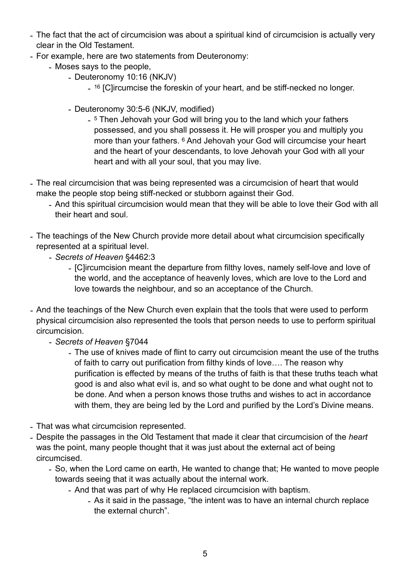- The fact that the act of circumcision was about a spiritual kind of circumcision is actually very clear in the Old Testament.
- For example, here are two statements from Deuteronomy:
	- Moses says to the people,
		- Deuteronomy 10:16 (NKJV)
			- <sup>16</sup> [C]ircumcise the foreskin of your heart, and be stiff-necked no longer.
		- Deuteronomy 30:5-6 (NKJV, modified)
			- <sup>5</sup> Then Jehovah your God will bring you to the land which your fathers possessed, and you shall possess it. He will prosper you and multiply you more than your fathers. 6 And Jehovah your God will circumcise your heart and the heart of your descendants, to love Jehovah your God with all your heart and with all your soul, that you may live.
- The real circumcision that was being represented was a circumcision of heart that would make the people stop being stiff-necked or stubborn against their God.
	- And this spiritual circumcision would mean that they will be able to love their God with all their heart and soul.
- The teachings of the New Church provide more detail about what circumcision specifically represented at a spiritual level.
	- *- Secrets of Heaven* §4462:3
		- *-* [C]ircumcision meant the departure from filthy loves, namely self-love and love of the world, and the acceptance of heavenly loves, which are love to the Lord and love towards the neighbour, and so an acceptance of the Church.
- *-* And the teachings of the New Church even explain that the tools that were used to perform physical circumcision also represented the tools that person needs to use to perform spiritual circumcision.
	- *- Secrets of Heaven* §7044
		- *-* The use of knives made of flint to carry out circumcision meant the use of the truths of faith to carry out purification from filthy kinds of love…. The reason why purification is effected by means of the truths of faith is that these truths teach what good is and also what evil is, and so what ought to be done and what ought not to be done. And when a person knows those truths and wishes to act in accordance with them, they are being led by the Lord and purified by the Lord's Divine means.
- That was what circumcision represented.
- Despite the passages in the Old Testament that made it clear that circumcision of the *heart* was the point, many people thought that it was just about the external act of being circumcised.
	- So, when the Lord came on earth, He wanted to change that; He wanted to move people towards seeing that it was actually about the internal work.
		- And that was part of why He replaced circumcision with baptism.
			- As it said in the passage, "the intent was to have an internal church replace the external church".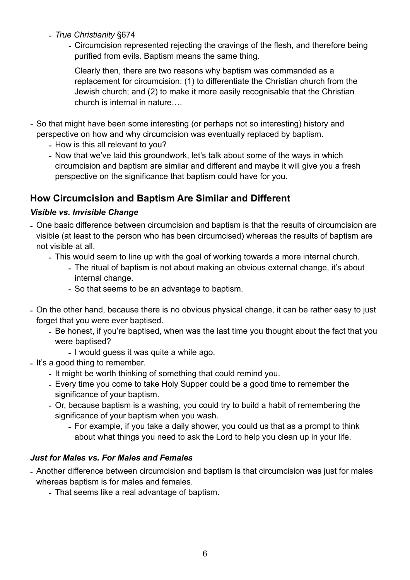*- True Christianity* §674

*-* Circumcision represented rejecting the cravings of the flesh, and therefore being purified from evils. Baptism means the same thing.

Clearly then, there are two reasons why baptism was commanded as a replacement for circumcision: (1) to differentiate the Christian church from the Jewish church; and (2) to make it more easily recognisable that the Christian church is internal in nature….

- *-* So that might have been some interesting (or perhaps not so interesting) history and perspective on how and why circumcision was eventually replaced by baptism.
	- *-* How is this all relevant to you?
	- *-* Now that we've laid this groundwork, let's talk about some of the ways in which circumcision and baptism are similar and different and maybe it will give you a fresh perspective on the significance that baptism could have for you.

## **How Circumcision and Baptism Are Similar and Different**

#### *Visible vs. Invisible Change*

- One basic difference between circumcision and baptism is that the results of circumcision are visible (at least to the person who has been circumcised) whereas the results of baptism are not visible at all.
	- This would seem to line up with the goal of working towards a more internal church.
		- The ritual of baptism is not about making an obvious external change, it's about internal change.
		- So that seems to be an advantage to baptism.
- On the other hand, because there is no obvious physical change, it can be rather easy to just forget that you were ever baptised.
	- Be honest, if you're baptised, when was the last time you thought about the fact that you were baptised?
		- I would guess it was quite a while ago.
- It's a good thing to remember.
	- It might be worth thinking of something that could remind you.
	- Every time you come to take Holy Supper could be a good time to remember the significance of your baptism.
	- Or, because baptism is a washing, you could try to build a habit of remembering the significance of your baptism when you wash.
		- For example, if you take a daily shower, you could us that as a prompt to think about what things you need to ask the Lord to help you clean up in your life.

#### *Just for Males vs. For Males and Females*

- Another difference between circumcision and baptism is that circumcision was just for males whereas baptism is for males and females.
	- That seems like a real advantage of baptism.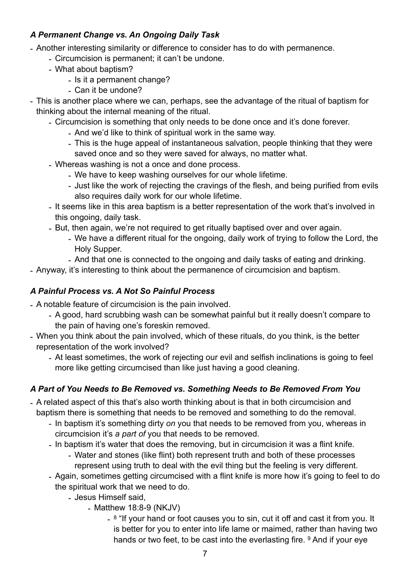#### *A Permanent Change vs. An Ongoing Daily Task*

- Another interesting similarity or difference to consider has to do with permanence.
	- Circumcision is permanent; it can't be undone.
	- What about baptism?
		- Is it a permanent change?
		- Can it be undone?
- This is another place where we can, perhaps, see the advantage of the ritual of baptism for thinking about the internal meaning of the ritual.
	- Circumcision is something that only needs to be done once and it's done forever.
		- And we'd like to think of spiritual work in the same way.
		- This is the huge appeal of instantaneous salvation, people thinking that they were saved once and so they were saved for always, no matter what.
	- Whereas washing is not a once and done process.
		- We have to keep washing ourselves for our whole lifetime.
		- Just like the work of rejecting the cravings of the flesh, and being purified from evils also requires daily work for our whole lifetime.
	- It seems like in this area baptism is a better representation of the work that's involved in this ongoing, daily task.
	- But, then again, we're not required to get ritually baptised over and over again.
		- We have a different ritual for the ongoing, daily work of trying to follow the Lord, the Holy Supper.
		- And that one is connected to the ongoing and daily tasks of eating and drinking.
- Anyway, it's interesting to think about the permanence of circumcision and baptism.

#### *A Painful Process vs. A Not So Painful Process*

- A notable feature of circumcision is the pain involved.
	- A good, hard scrubbing wash can be somewhat painful but it really doesn't compare to the pain of having one's foreskin removed.
- When you think about the pain involved, which of these rituals, do you think, is the better representation of the work involved?
	- At least sometimes, the work of rejecting our evil and selfish inclinations is going to feel more like getting circumcised than like just having a good cleaning.

### *A Part of You Needs to Be Removed vs. Something Needs to Be Removed From You*

- A related aspect of this that's also worth thinking about is that in both circumcision and baptism there is something that needs to be removed and something to do the removal.
	- In baptism it's something dirty *on* you that needs to be removed from you, whereas in circumcision it's *a part of* you that needs to be removed.
	- In baptism it's water that does the removing, but in circumcision it was a flint knife.
		- Water and stones (like flint) both represent truth and both of these processes represent using truth to deal with the evil thing but the feeling is very different.
	- Again, sometimes getting circumcised with a flint knife is more how it's going to feel to do the spiritual work that we need to do.
		- Jesus Himself said,
			- Matthew 18:8-9 (NKJV)
				- 8 "If your hand or foot causes you to sin, cut it off and cast it from you. It is better for you to enter into life lame or maimed, rather than having two hands or two feet, to be cast into the everlasting fire. <sup>9</sup> And if your eve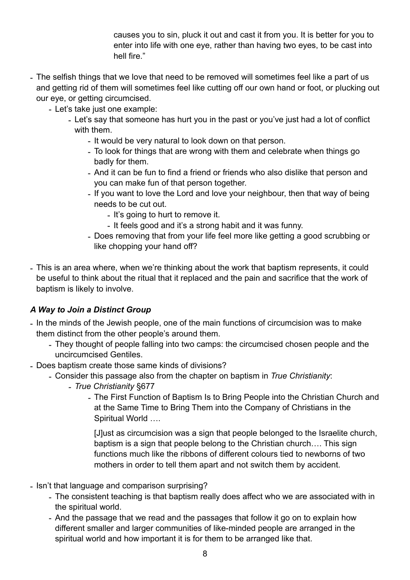causes you to sin, pluck it out and cast it from you. It is better for you to enter into life with one eye, rather than having two eyes, to be cast into hell fire."

- The selfish things that we love that need to be removed will sometimes feel like a part of us and getting rid of them will sometimes feel like cutting off our own hand or foot, or plucking out our eye, or getting circumcised.
	- Let's take just one example:
		- Let's say that someone has hurt you in the past or you've just had a lot of conflict with them.
			- It would be very natural to look down on that person.
			- To look for things that are wrong with them and celebrate when things go badly for them.
			- And it can be fun to find a friend or friends who also dislike that person and you can make fun of that person together.
			- If you want to love the Lord and love your neighbour, then that way of being needs to be cut out.
				- It's going to hurt to remove it.
				- It feels good and it's a strong habit and it was funny.
			- Does removing that from your life feel more like getting a good scrubbing or like chopping your hand off?
- This is an area where, when we're thinking about the work that baptism represents, it could be useful to think about the ritual that it replaced and the pain and sacrifice that the work of baptism is likely to involve.

#### *A Way to Join a Distinct Group*

- In the minds of the Jewish people, one of the main functions of circumcision was to make them distinct from the other people's around them.
	- They thought of people falling into two camps: the circumcised chosen people and the uncircumcised Gentiles.
- Does baptism create those same kinds of divisions?
	- Consider this passage also from the chapter on baptism in *True Christianity*:
		- *- True Christianity* §677
			- *-* The First Function of Baptism Is to Bring People into the Christian Church and at the Same Time to Bring Them into the Company of Christians in the Spiritual World ….

[J]ust as circumcision was a sign that people belonged to the Israelite church, baptism is a sign that people belong to the Christian church…. This sign functions much like the ribbons of different colours tied to newborns of two mothers in order to tell them apart and not switch them by accident.

- Isn't that language and comparison surprising?
	- The consistent teaching is that baptism really does affect who we are associated with in the spiritual world.
	- And the passage that we read and the passages that follow it go on to explain how different smaller and larger communities of like-minded people are arranged in the spiritual world and how important it is for them to be arranged like that.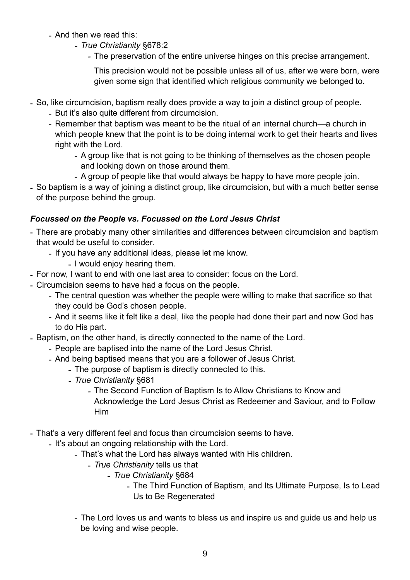- And then we read this:
	- *- True Christianity* §678:2
		- *-* The preservation of the entire universe hinges on this precise arrangement.

This precision would not be possible unless all of us, after we were born, were given some sign that identified which religious community we belonged to.

- So, like circumcision, baptism really does provide a way to join a distinct group of people.
	- But it's also quite different from circumcision.
	- Remember that baptism was meant to be the ritual of an internal church—a church in which people knew that the point is to be doing internal work to get their hearts and lives right with the Lord.
		- A group like that is not going to be thinking of themselves as the chosen people and looking down on those around them.
		- A group of people like that would always be happy to have more people join.
- So baptism is a way of joining a distinct group, like circumcision, but with a much better sense of the purpose behind the group.

#### *Focussed on the People vs. Focussed on the Lord Jesus Christ*

- There are probably many other similarities and differences between circumcision and baptism that would be useful to consider.
	- If you have any additional ideas, please let me know.
		- I would enjoy hearing them.
- For now, I want to end with one last area to consider: focus on the Lord.
- Circumcision seems to have had a focus on the people.
	- The central question was whether the people were willing to make that sacrifice so that they could be God's chosen people.
	- And it seems like it felt like a deal, like the people had done their part and now God has to do His part.
- Baptism, on the other hand, is directly connected to the name of the Lord.
	- People are baptised into the name of the Lord Jesus Christ.
	- And being baptised means that you are a follower of Jesus Christ.
		- The purpose of baptism is directly connected to this.
		- *- True Christianity* §681
			- *-* The Second Function of Baptism Is to Allow Christians to Know and Acknowledge the Lord Jesus Christ as Redeemer and Saviour, and to Follow Him
- That's a very different feel and focus than circumcision seems to have.
	- It's about an ongoing relationship with the Lord.
		- That's what the Lord has always wanted with His children.
			- *True Christianity* tells us that
				- *True Christianity* §684
					- The Third Function of Baptism, and Its Ultimate Purpose, Is to Lead Us to Be Regenerated
		- The Lord loves us and wants to bless us and inspire us and guide us and help us be loving and wise people.